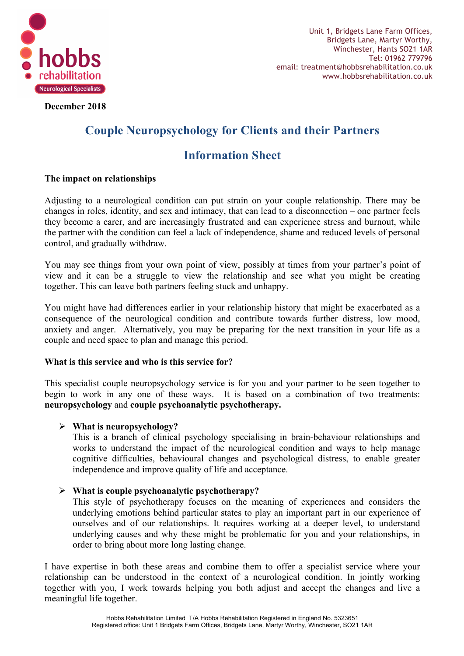

**December 2018**

# **Couple Neuropsychology for Clients and their Partners**

# **Information Sheet**

# **The impact on relationships**

Adjusting to a neurological condition can put strain on your couple relationship. There may be changes in roles, identity, and sex and intimacy, that can lead to a disconnection – one partner feels they become a carer, and are increasingly frustrated and can experience stress and burnout, while the partner with the condition can feel a lack of independence, shame and reduced levels of personal control, and gradually withdraw.

You may see things from your own point of view, possibly at times from your partner's point of view and it can be a struggle to view the relationship and see what you might be creating together. This can leave both partners feeling stuck and unhappy.

You might have had differences earlier in your relationship history that might be exacerbated as a consequence of the neurological condition and contribute towards further distress, low mood, anxiety and anger. Alternatively, you may be preparing for the next transition in your life as a couple and need space to plan and manage this period.

# **What is this service and who is this service for?**

This specialist couple neuropsychology service is for you and your partner to be seen together to begin to work in any one of these ways. It is based on a combination of two treatments: **neuropsychology** and **couple psychoanalytic psychotherapy.**

# Ø **What is neuropsychology?**

This is a branch of clinical psychology specialising in brain-behaviour relationships and works to understand the impact of the neurological condition and ways to help manage cognitive difficulties, behavioural changes and psychological distress, to enable greater independence and improve quality of life and acceptance.

# Ø **What is couple psychoanalytic psychotherapy?**

This style of psychotherapy focuses on the meaning of experiences and considers the underlying emotions behind particular states to play an important part in our experience of ourselves and of our relationships. It requires working at a deeper level, to understand underlying causes and why these might be problematic for you and your relationships, in order to bring about more long lasting change.

I have expertise in both these areas and combine them to offer a specialist service where your relationship can be understood in the context of a neurological condition. In jointly working together with you, I work towards helping you both adjust and accept the changes and live a meaningful life together.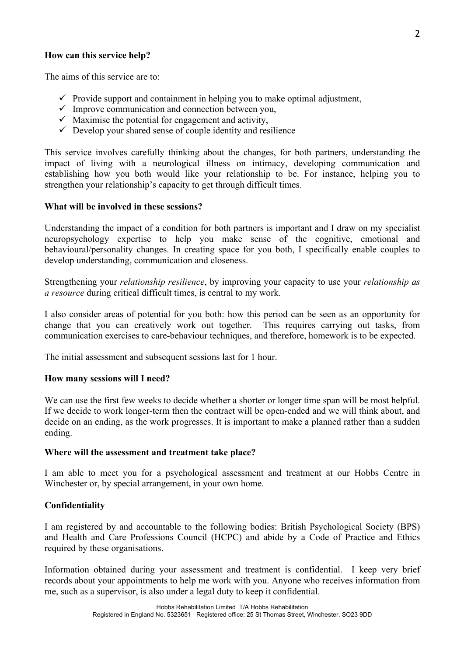## **How can this service help?**

The aims of this service are to:

- $\checkmark$  Provide support and containment in helping you to make optimal adjustment,
- $\checkmark$  Improve communication and connection between you,
- $\checkmark$  Maximise the potential for engagement and activity,
- $\checkmark$  Develop your shared sense of couple identity and resilience

This service involves carefully thinking about the changes, for both partners, understanding the impact of living with a neurological illness on intimacy, developing communication and establishing how you both would like your relationship to be. For instance, helping you to strengthen your relationship's capacity to get through difficult times.

## **What will be involved in these sessions?**

Understanding the impact of a condition for both partners is important and I draw on my specialist neuropsychology expertise to help you make sense of the cognitive, emotional and behavioural/personality changes. In creating space for you both, I specifically enable couples to develop understanding, communication and closeness.

Strengthening your *relationship resilience*, by improving your capacity to use your *relationship as a resource* during critical difficult times, is central to my work.

I also consider areas of potential for you both: how this period can be seen as an opportunity for change that you can creatively work out together. This requires carrying out tasks, from communication exercises to care-behaviour techniques, and therefore, homework is to be expected.

The initial assessment and subsequent sessions last for 1 hour.

#### **How many sessions will I need?**

We can use the first few weeks to decide whether a shorter or longer time span will be most helpful. If we decide to work longer-term then the contract will be open-ended and we will think about, and decide on an ending, as the work progresses. It is important to make a planned rather than a sudden ending.

#### **Where will the assessment and treatment take place?**

I am able to meet you for a psychological assessment and treatment at our Hobbs Centre in Winchester or, by special arrangement, in your own home.

#### **Confidentiality**

I am registered by and accountable to the following bodies: British Psychological Society (BPS) and Health and Care Professions Council (HCPC) and abide by a Code of Practice and Ethics required by these organisations.

Information obtained during your assessment and treatment is confidential. I keep very brief records about your appointments to help me work with you. Anyone who receives information from me, such as a supervisor, is also under a legal duty to keep it confidential.